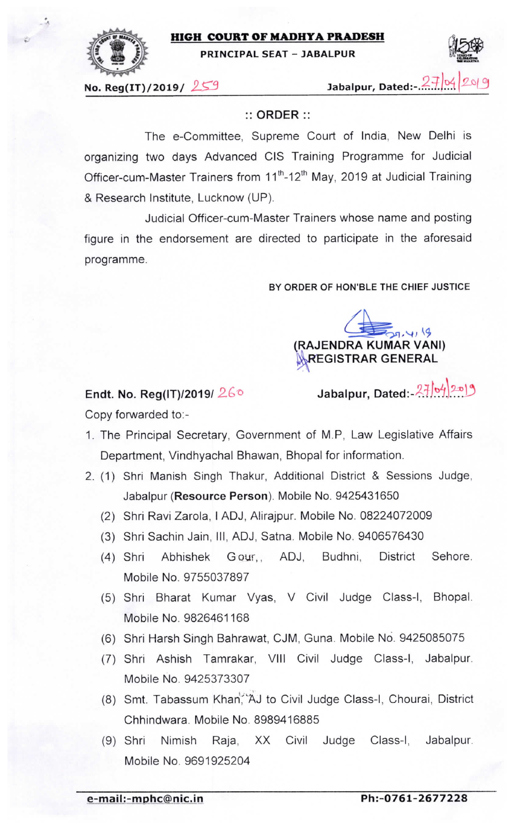

## HIGH COURT OF MADHYA PRADESH

PRINCIPAL SEAT - JABALPUR



No. Reg(IT)/2019/  $259$  Jabalpur, Dated:- $.2\neq$  |0

## :: ORDER ::

The e-Committee, Supreme Court of India, New Delhi is organizing two days Advanced CIS Training Programme for Judicial Officer-cum-Master Trainers from 11<sup>th</sup>-12<sup>th</sup> May, 2019 at Judicial Training & Research Institute, Lucknow (UP).

Judicial Officer-cum-Master Trainers whose name and posting figure in the endorsement are directed to participate in the aforesaid programme.

BY ORDER OF HON'BLE THE CHIEF JUSTICE



Endt. No. Reg(IT)/2019/ $26\degree$ 

Copy forwarded to:-

Jabalpur, Dated: 27/04/2019

1. The Principal Secretary, Government of M.P, Law Legislative Affairs

Department, Vindhyachal Bhawan, Bhopal for information.

- 2. (1) Shri Manish Singh Thakur, Additional District & Sessions Judge, Jabalpur (Resource Person). Mobile No. 9425431650
	- (2) Shri Ravi Zarola, I ADJ, Alirajpur. Mobile No. 08224072009
	- (3) Shri Sachin Jain, III, ADJ, Satna. Mobile No. 9406576430
	- (4) Shri Abhishek Gour,, ADJ, Budhni, District Sehore. Mobile No. 9755037897
	- (5) Shri Bharat Kumar Vyas, V Civil Judge Class-I, Bhopal. Mobile No. 9826461168
	- (6) Shri Harsh Singh Bahrawat, CJM, Guna. Mobile No. 9425085075
	- (7) Shri Ashish Tamrakar, Vlll Civil Judge Class-I, Jabalpur. Mobile No. 9425373307
	- (8) Smt. Tabassum Khan, AJ to Civil Judge Class-I, Chourai, District Chhindwara. Mobile No. 8989416885
	- (9) Shri Nimish Raja, XX Civil Judge Class-I, Jabalpur. Mobile No. 9691925204